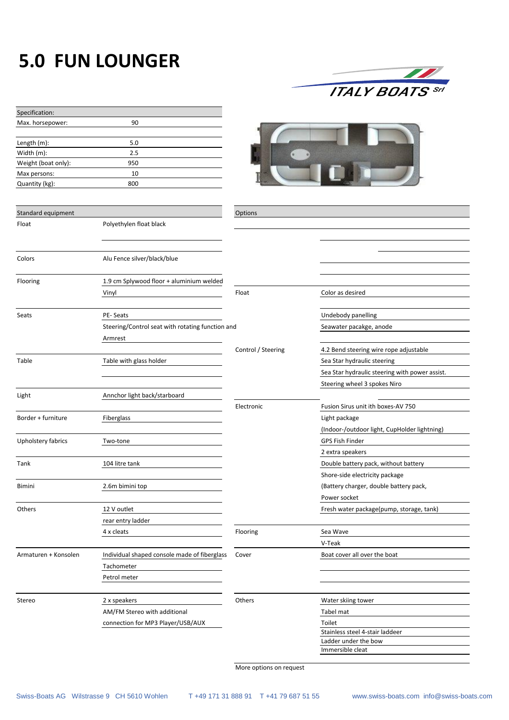## **5.0 FUN LOUNGER**



| Specification:       |                                                  |                    |                                                |
|----------------------|--------------------------------------------------|--------------------|------------------------------------------------|
| Max. horsepower:     | 90                                               |                    |                                                |
|                      |                                                  |                    |                                                |
| Length (m):          | 5.0                                              |                    |                                                |
| Width (m):           | 2.5                                              |                    |                                                |
| Weight (boat only):  | 950                                              |                    |                                                |
| Max persons:         | 10                                               |                    |                                                |
| Quantity (kg):       | 800                                              |                    |                                                |
|                      |                                                  |                    |                                                |
| Standard equipment   |                                                  | Options            |                                                |
| Float                | Polyethylen float black                          |                    |                                                |
|                      |                                                  |                    |                                                |
|                      |                                                  |                    |                                                |
| Colors               | Alu Fence silver/black/blue                      |                    |                                                |
|                      |                                                  |                    |                                                |
|                      |                                                  |                    |                                                |
| Flooring             | 1.9 cm Splywood floor + aluminium welded         |                    |                                                |
|                      | Vinyl                                            | Float              | Color as desired                               |
|                      |                                                  |                    |                                                |
| Seats                | PE-Seats                                         |                    | Undebody panelling                             |
|                      | Steering/Control seat with rotating function and |                    | Seawater pacakge, anode                        |
|                      | Armrest                                          |                    |                                                |
|                      |                                                  | Control / Steering | 4.2 Bend steering wire rope adjustable         |
| Table                | Table with glass holder                          |                    | Sea Star hydraulic steering                    |
|                      |                                                  |                    | Sea Star hydraulic steering with power assist. |
|                      |                                                  |                    | Steering wheel 3 spokes Niro                   |
| Light                | Annchor light back/starboard                     |                    |                                                |
|                      |                                                  | Electronic         | Fusion Sirus unit ith boxes-AV 750             |
| Border + furniture   | Fiberglass                                       |                    | Light package                                  |
|                      |                                                  |                    | (Indoor-/outdoor light, CupHolder lightning)   |
| Upholstery fabrics   | Two-tone                                         |                    | <b>GPS Fish Finder</b>                         |
|                      |                                                  |                    | 2 extra speakers                               |
| Tank                 | 104 litre tank                                   |                    | Double battery pack, without battery           |
|                      |                                                  |                    | Shore-side electricity package                 |
| Bimini               | 2.6m bimini top                                  |                    | (Battery charger, double battery pack,         |
|                      |                                                  |                    | Power socket                                   |
| Others               | 12 V outlet                                      |                    | Fresh water package(pump, storage, tank)       |
|                      |                                                  |                    |                                                |
|                      | rear entry ladder                                |                    |                                                |
|                      | 4 x cleats                                       | Flooring           | Sea Wave                                       |
|                      |                                                  |                    | V-Teak                                         |
| Armaturen + Konsolen | Individual shaped console made of fiberglass     | Cover              | Boat cover all over the boat                   |
|                      | Tachometer                                       |                    |                                                |
|                      | Petrol meter                                     |                    |                                                |
|                      |                                                  |                    |                                                |
| Stereo               | 2 x speakers                                     | Others             | Water skiing tower                             |
|                      | AM/FM Stereo with additional                     |                    | Tabel mat                                      |
|                      | connection for MP3 Player/USB/AUX                |                    | Toilet                                         |
|                      |                                                  |                    | Stainless steel 4-stair laddeer                |
|                      |                                                  |                    | Ladder under the bow<br>Immersible cleat       |
|                      |                                                  |                    |                                                |

More options on request